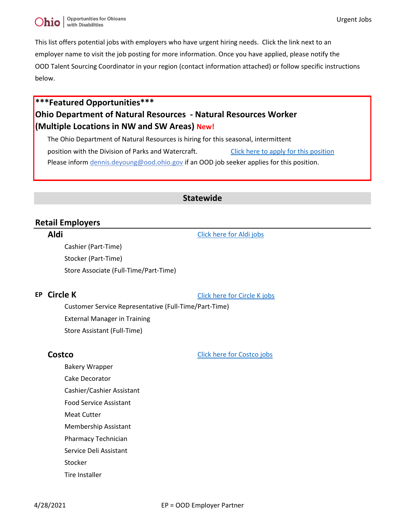Urgent Jobs

This list offers potential jobs with employers who have urgent hiring needs. Click the link next to an employer name to visit the job posting for more information. Once you have applied, please notify the OOD Talent Sourcing Coordinator in your region (contact information attached) or follow specific instructions below.

# **\*\*\*Featured Opportunities\*\*\* Ohio Department of Natural Resources - Natural Resources Worker (Multiple Locations in NW and SW Areas) New!**

The Ohio Department of Natural Resources is hiring for this seasonal, intermittent position with the Division of Parks and Watercraft. [Click here to apply for this position](https://dasstateoh.taleo.net/careersection/oh_ext/jobdetail.ftl?job=2100011S&tz=GMT-04%3A00&tzname=America%2FNew_York) Please inform dennis.deyoung@ood.ohio.gov if an OOD job seeker applies for this position.

### **Statewide**

### **Retail Employers**

### **Aldi** [Click here for Aldi jobs](https://careers.aldi.us/search-jobs/Ohio%2C US/61/3/6252001-5165418/40x25034/-83x00018/50/2)

Cashier (Part-Time) Stocker (Part-Time) Store Associate (Full-Time/Part-Time)

**EP Circle K [Click here for Circle K jobs](https://workwithus.circlek.com/en-US/search?keywords=customer%20Service&location=Ohio,USA&pagenumber=1)** 

Customer Service Representative (Full-Time/Part-Time) External Manager in Training Store Assistant (Full-Time)

**Costco** [Click here for Costco jobs](https://cta.cadienttalent.com/index.jsp?applicationName=CostcoNonReqExt&locale=en_US)

Bakery Wrapper

- Cake Decorator
- Cashier/Cashier Assistant
- Food Service Assistant
- Meat Cutter
- Membership Assistant
- Pharmacy Technician
- Service Deli Assistant
- Stocker
- Tire Installer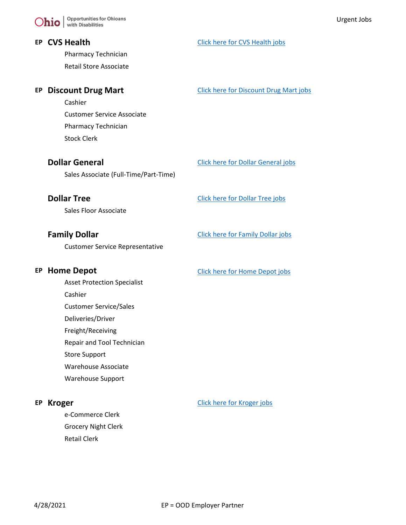Pharmacy Technician Retail Store Associate

Cashier Customer Service Associate Pharmacy Technician Stock Clerk

Sales Associate (Full-Time/Part-Time)

Sales Floor Associate

Customer Service Representative

Asset Protection Specialist

Cashier

Customer Service/Sales

- Deliveries/Driver
- Freight/Receiving
- Repair and Tool Technician

Store Support

Warehouse Associate

Warehouse Support

e-Commerce Clerk Grocery Night Clerk Retail Clerk

### **EP CVS Health [Click here for CVS Health jobs](https://jobs.cvshealth.com/search-results?CloudSearchValue=none&CloudSearchLocation=Ohio%2C%20USA&CloudSearchRadius=20&radiusUnit=Miles&prefilters=none)**

**EP Discount Drug Mart [Click here for Discount Drug Mart jobs](https://discount-drugmart.com/careers/inquiry-for-employment/)** 

**Dollar General** [Click here for Dollar General jobs](https://jobs-dollargeneral.icims.com/jobs/search?pr=0&searchRadius=150&searchZip=43015&searchLocation=zipRadius&schemaId=&o=)

### **Dollar Tree** [Click here for Dollar Tree jobs](https://sjobs.brassring.com/TGnewUI/Search/Home/Home?partnerid=25600&siteid=5477#home)

**Family Dollar** [Click here for Family Dollar jobs](https://sjobs.brassring.com/TGnewUI/Search/Home/Home?partnerid=25600&siteid=5477#home)

**EP Home Depot** [Click here for Home Depot jobs](https://careers.homedepot.com/)

### **EP Kroger [Click here for Kroger jobs](https://jobs.kroger.com/kroger/go/Hourly-Jobs-at-Kroger/396025/?q=&q2=&alertId=&locationsearch=&title=&location=OH%2C+US&facility=&department=)**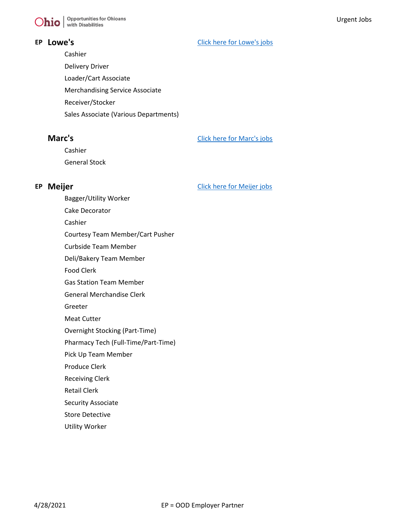Cashier Delivery Driver Loader/Cart Associate Merchandising Service Associate Receiver/Stocker Sales Associate (Various Departments)

**Marc's** [Click here for Marc's jobs](https://www.marcs.com/Employment-Opportunities/Apply)

Cashier General Stock

**EP Meijer [Click here for Meijer jobs](https://meijer.wd5.myworkdayjobs.com/Meijer_Stores_Hourly/0/refreshFacet/318c8bb6f553100021d223d9780d30be)** 

Cake Decorator Cashier Courtesy Team Member/Cart Pusher Curbside Team Member

Bagger/Utility Worker

- Deli/Bakery Team Member
- Food Clerk
- Gas Station Team Member
- General Merchandise Clerk
- Greeter
- Meat Cutter
- Overnight Stocking (Part-Time)
- Pharmacy Tech (Full-Time/Part-Time)
- Pick Up Team Member
- Produce Clerk
- Receiving Clerk
- Retail Clerk
- Security Associate
- Store Detective
- Utility Worker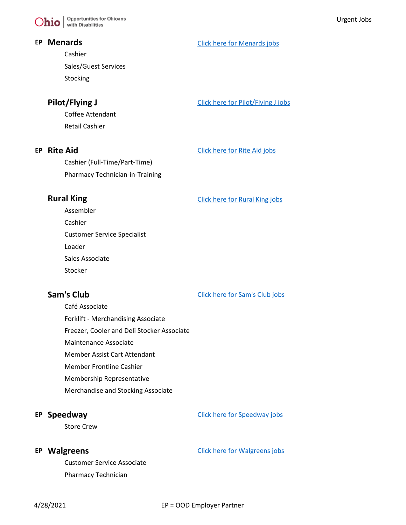$\sum$   $\left| \right.$  Opportunities for Ohioans

### **EP Menards [Click here for Menards jobs](http://www.menards.com/main/store-careers/c-14022.htm)**

Cashier Sales/Guest Services Stocking

**Pilot/Flying J** [Click here for Pilot/Flying J jobs](https://jobs.pilotflyingj.com/joblist?page_size=10&page_number=1&location_state=Ohio&sort_by=start_date&sort_order=DESC)

Coffee Attendant Retail Cashier

**EP Rite Aid [Click here for Rite Aid jobs](https://careers.info.riteaid.com/en-US/search?keywords=&location=Ohio,USA&placeid=ChIJwY5NtXrpNogRFtmfnDlkzeU&locationLimit=3&orderby=-date)** 

Cashier (Full-Time/Part-Time) Pharmacy Technician-in-Training

**Rural King** [Click here for Rural King jobs](https://www.ruralking.com/careers)

Assembler Cashier Customer Service Specialist Loader Sales Associate

Stocker

**Sam's Club** [Click here for Sam's Club jobs](https://careers.walmart.com/results?q=&page=1&sort=rank&jobState=OH&jobBrand=0000015a-624c-d7d3-afff-76ec4e230000&expand=department,brand,type,rate&jobCareerArea=all)

Café Associate Forklift - Merchandising Associate Freezer, Cooler and Deli Stocker Associate Maintenance Associate Member Assist Cart Attendant Member Frontline Cashier Membership Representative

Merchandise and Stocking Associate

### **EP Speedway [Click here for Speedway jobs](https://speedway.wd1.myworkdayjobs.com/Speedway_External_Career_Site/0/refreshFacet/318c8bb6f553100021d223d9780d30be)**

Store Crew

Customer Service Associate Pharmacy Technician

**EP Walgreens [Click here for Walgreens jobs](https://jobs.walgreens.com/)**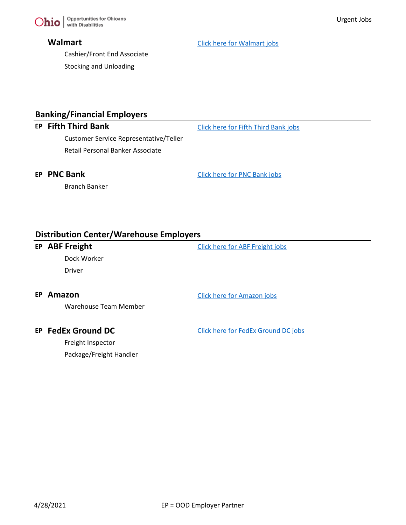Cashier/Front End Associate Stocking and Unloading

**Walmart** [Click here for Walmart jobs](https://careers.walmart.com/results?q=&page=1&sort=rank&jobState=OH&jobCategory=&jobDepartmentCode=00000159-75b1-d2b4-abdd-f5b7956d0000&jobBrand=0000015a-7fb5-dbfd-a35a-ffff665a0000&expand=department,brand,type,rate&type=jobs)

# **Banking/Financial Employers**

Customer Service Representative/Teller Retail Personal Banker Associate

**EP Fifth Third Bank** [Click here for Fifth Third Bank jobs](https://fifththird.wd5.myworkdayjobs.com/53careers/0/refreshFacet/318c8bb6f553100021d223d9780d30be)

Branch Banker

**EP PNC Bank [Click here for PNC Bank jobs](https://careers.pnc.com/global/en/search-results)** 

### **Distribution Center/Warehouse Employers**

**EP ABF Freight [Click here for ABF Freight jobs](https://jobs.abf.com/abfjobs/AllCareers)** 

Dock Worker

Driver

### **EP Amazon** [Click here for Amazon jobs](https://www.amazondelivers.jobs/warehouse-jobs/ohio-jobs/?cmpid=COCGCO2452H6)

Warehouse Team Member

Freight Inspector Package/Freight Handler

**EP FedEx Ground DC** [Click here for FedEx Ground DC jobs](https://careers.fedex.com/fedex/)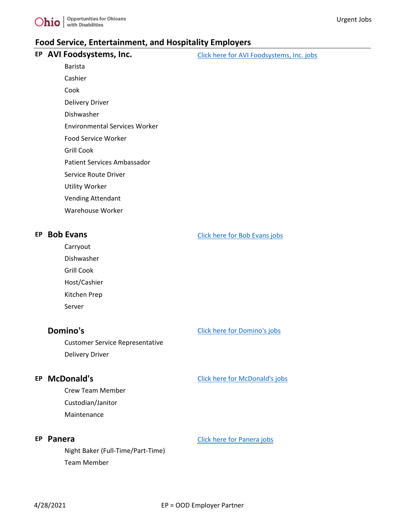

### **Food Service, Entertainment, and Hospitality Employers**

# **EP AVI Foodsystems, Inc.** [Click here for AVI Foodsystems, Inc. jobs](https://www.avifoodsystems.com/career-opportunities/current-openings/) Barista Cashier

Cook

Delivery Driver

Dishwasher

Environmental Services Worker

Food Service Worker

Grill Cook

Patient Services Ambassador

Service Route Driver

Utility Worker

Vending Attendant

Warehouse Worker

**EP Bob Evans [Click here for Bob Evans jobs](https://careers.bobevans.com/?keywordsFilter=&state=Ohio)** 

Carryout Dishwasher

Grill Cook

Host/Cashier

Kitchen Prep Server

**Domino's** [Click here for Domino's jobs](https://jobs.dominos.com/dominos-careers/jobs#?siteCategory=in-store)

Customer Service Representative Delivery Driver

Crew Team Member Custodian/Janitor Maintenance

Night Baker (Full-Time/Part-Time) Team Member

### **EP McDonald's** [Click here for McDonald's jobs](https://careers.mcdonalds.com/us-restaurants/jobs?page=1&location=Ohio&woe=8&stretch=50&stretchUnit=MILES)

# **EP Panera** [Click here for Panera jobs](https://jobs.panerabread.com/search-jobs/Cleveland%2C OH/5360/4/6252001-5165418-5151606-5150529/41x4995/-81x69541/35/2)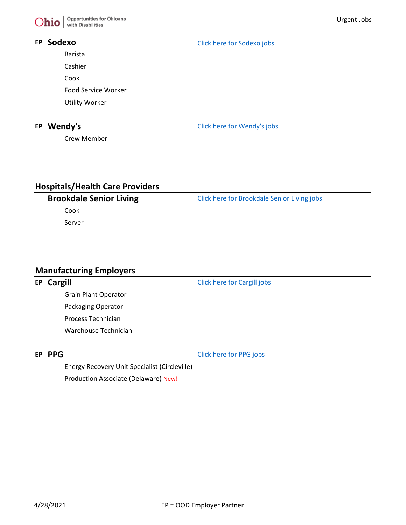

Barista

Cashier

Cook

Food Service Worker

Utility Worker

Crew Member

**EP Sodexo** [Click here for Sodexo jobs](https://external-careers-frontlinesodexo.icims.com/jobs/search?ss=1&searchRelation=keyword_all&searchLocation=-12819-)

**EP Wendy's [Click here for Wendy's jobs](https://wendys-careers.com/job-search/?category=crew&city=&state=Ohio&zip=&keyword=&restaurant_id=&spage=1)** 

# **Hospitals/Health Care Providers**

Cook

Server

**Brookdale Senior Living** [Click here for Brookdale Senior Living jobs](https://careers.brookdale.com/en/jobs.html#/search?page=1&distance=160.93470878864446)

### **Manufacturing Employers**

### **EP Cargill [Click here for Cargill jobs](https://careers.cargill.com/search-jobs)**

Grain Plant Operator Packaging Operator Process Technician Warehouse Technician

**EP PPG** [Click here for PPG jobs](https://ppg.referrals.selectminds.com/jobs/search/2297492)

Energy Recovery Unit Specialist (Circleville) Production Associate (Delaware) New!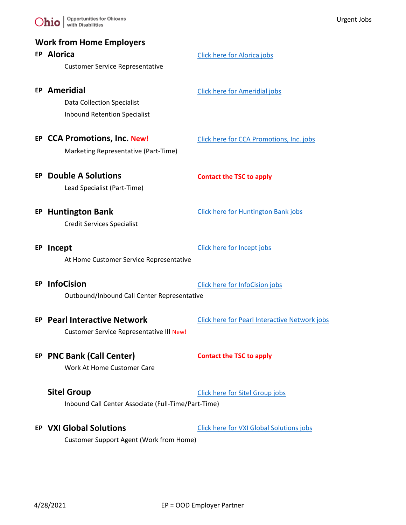

# **Work from Home Employers**

|     | <b>EP Alorica</b>                                   | <b>Click here for Alorica jobs</b>                   |
|-----|-----------------------------------------------------|------------------------------------------------------|
|     | <b>Customer Service Representative</b>              |                                                      |
|     |                                                     |                                                      |
|     | EP Ameridial                                        | <b>Click here for Ameridial jobs</b>                 |
|     | <b>Data Collection Specialist</b>                   |                                                      |
|     | <b>Inbound Retention Specialist</b>                 |                                                      |
|     | EP CCA Promotions, Inc. New!                        | Click here for CCA Promotions, Inc. jobs             |
|     | Marketing Representative (Part-Time)                |                                                      |
|     |                                                     |                                                      |
| EP. | <b>Double A Solutions</b>                           | <b>Contact the TSC to apply</b>                      |
|     | Lead Specialist (Part-Time)                         |                                                      |
|     |                                                     |                                                      |
|     | <b>EP Huntington Bank</b>                           | <b>Click here for Huntington Bank jobs</b>           |
|     | <b>Credit Services Specialist</b>                   |                                                      |
|     |                                                     |                                                      |
|     | EP Incept                                           | Click here for Incept jobs                           |
|     | At Home Customer Service Representative             |                                                      |
|     |                                                     |                                                      |
|     | <b>EP InfoCision</b>                                | Click here for InfoCision jobs                       |
|     | Outbound/Inbound Call Center Representative         |                                                      |
|     | EP Pearl Interactive Network                        | <b>Click here for Pearl Interactive Network jobs</b> |
|     | <b>Customer Service Representative III New!</b>     |                                                      |
|     |                                                     |                                                      |
|     | EP PNC Bank (Call Center)                           | <b>Contact the TSC to apply</b>                      |
|     | Work At Home Customer Care                          |                                                      |
|     |                                                     |                                                      |
|     | <b>Sitel Group</b>                                  | Click here for Sitel Group jobs                      |
|     | Inbound Call Center Associate (Full-Time/Part-Time) |                                                      |
|     |                                                     |                                                      |
|     | <b>EP VXI Global Solutions</b>                      | <b>Click here for VXI Global Solutions jobs</b>      |
|     | <b>Customer Support Agent (Work from Home)</b>      |                                                      |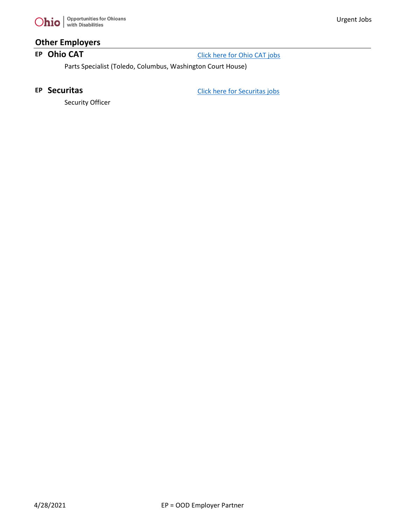

# **Other Employers**

**EP Ohio CAT** [Click here for Ohio CAT jobs](http://www.ohiocat.com/about-us/careers/)

Parts Specialist (Toledo, Columbus, Washington Court House)

**EP Securitas** [Click here for Securitas jobs](https://www.securitasinc.com/join-us/apply/)

Security Officer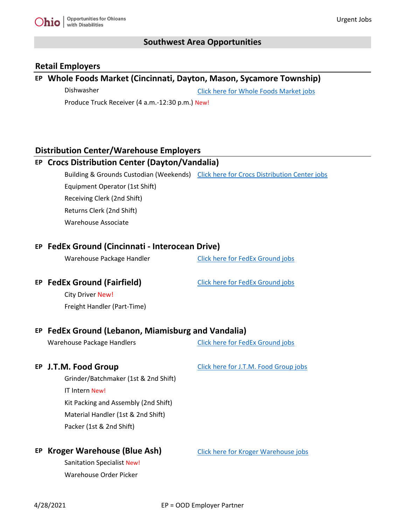

# **Southwest Area Opportunities**

### **Retail Employers**

# **EP Whole Foods Market (Cincinnati, Dayton, Mason, Sycamore Township)**

Dishwasher [Click here for Whole Foods Market jobs](https://careers.wholefoodsmarket.com/global/en/search-results?keywords=Ohio)

Produce Truck Receiver (4 a.m.-12:30 p.m.) New!

# **Distribution Center/Warehouse Employers**

| EP Crocs Distribution Center (Dayton/Vandalia)              |                                                                                       |  |  |
|-------------------------------------------------------------|---------------------------------------------------------------------------------------|--|--|
|                                                             | Building & Grounds Custodian (Weekends) Click here for Crocs Distribution Center jobs |  |  |
| Equipment Operator (1st Shift)                              |                                                                                       |  |  |
| Receiving Clerk (2nd Shift)                                 |                                                                                       |  |  |
| Returns Clerk (2nd Shift)                                   |                                                                                       |  |  |
| <b>Warehouse Associate</b>                                  |                                                                                       |  |  |
| EP FedEx Ground (Cincinnati - Interocean Drive)             |                                                                                       |  |  |
| Warehouse Package Handler                                   | <b>Click here for FedEx Ground jobs</b>                                               |  |  |
| EP FedEx Ground (Fairfield)                                 | <b>Click here for FedEx Ground jobs</b>                                               |  |  |
| <b>City Driver New!</b>                                     |                                                                                       |  |  |
| Freight Handler (Part-Time)                                 |                                                                                       |  |  |
|                                                             |                                                                                       |  |  |
|                                                             | EP FedEx Ground (Lebanon, Miamisburg and Vandalia)                                    |  |  |
|                                                             |                                                                                       |  |  |
| <b>Warehouse Package Handlers</b>                           | <b>Click here for FedEx Ground jobs</b>                                               |  |  |
| EP J.T.M. Food Group                                        | Click here for J.T.M. Food Group jobs                                                 |  |  |
| Grinder/Batchmaker (1st & 2nd Shift)                        |                                                                                       |  |  |
| <b>IT Intern New!</b>                                       |                                                                                       |  |  |
| Kit Packing and Assembly (2nd Shift)                        |                                                                                       |  |  |
| Material Handler (1st & 2nd Shift)                          |                                                                                       |  |  |
| Packer (1st & 2nd Shift)                                    |                                                                                       |  |  |
|                                                             |                                                                                       |  |  |
| EP Kroger Warehouse (Blue Ash)                              | Click here for Kroger Warehouse jobs                                                  |  |  |
| <b>Sanitation Specialist New!</b><br>Warehouse Order Picker |                                                                                       |  |  |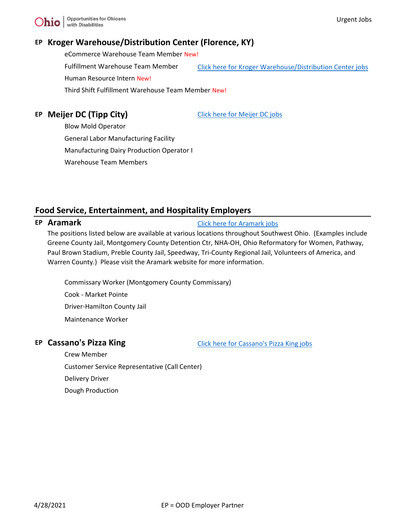# **EP Kroger Warehouse/Distribution Center (Florence, KY)**

eCommerce Warehouse Team Member New! Fulfillment Warehouse Team Member [Click here for Kroger Warehouse/Distribution Center jobs](https://jobs.kroger.com/search/?q=&q2=&alertId=&locationsearch=&geolocation=41042+-+United+States&searchby=distance&d=10&lat=38.9941&lon=-84.642&title=&location=&facility=251+east+mt+zion&department=&distance=10+mi) Human Resource Intern New! Third Shift Fulfillment Warehouse Team Member New!

# **EP Meijer DC (Tipp City)** CHEC [Click here for Meijer DC jobs](https://meijer.wd5.myworkdayjobs.com/Meijer/3/refreshFacet/318c8bb6f553100021d223d9780d30be)

Blow Mold Operator General Labor Manufacturing Facility Manufacturing Dairy Production Operator I

Warehouse Team Members

# **Food Service, Entertainment, and Hospitality Employers**

### **EP Aramark [Click here for Aramark jobs](https://www.aramark.com/careers)**

The positions listed below are available at various locations throughout Southwest Ohio. (Examples include Greene County Jail, Montgomery County Detention Ctr, NHA-OH, Ohio Reformatory for Women, Pathway, Paul Brown Stadium, Preble County Jail, Speedway, Tri-County Regional Jail, Volunteers of America, and Warren County.) Please visit the Aramark website for more information.

Commissary Worker (Montgomery County Commissary) Cook - Market Pointe Driver-Hamilton County Jail Maintenance Worker

**EP Cassano's Pizza King** [Click here for Cassano's Pizza King jobs](https://cassanosessentials.com/jobs/)

Crew Member Customer Service Representative (Call Center) Delivery Driver Dough Production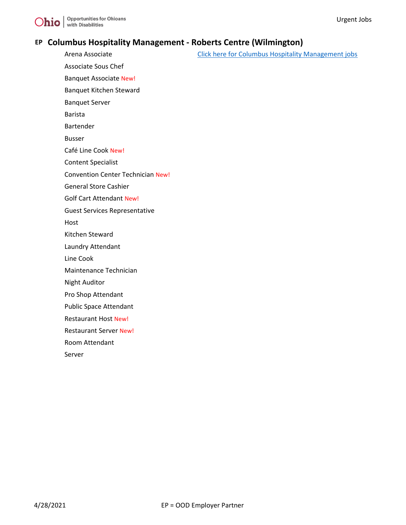

### **EP Columbus Hospitality Management - Roberts Centre (Wilmington)**

Arena Associate **[Click here for Columbus Hospitality Management jobs](https://columbushospitality.com/join-us/)** Click here for Columbus Hospitality Management jobs Associate Sous Chef Banquet Associate New! Banquet Kitchen Steward Banquet Server Barista Bartender Busser Café Line Cook New! Content Specialist Convention Center Technician New! General Store Cashier Golf Cart Attendant New! Guest Services Representative Host Kitchen Steward Laundry Attendant Line Cook Maintenance Technician Night Auditor Pro Shop Attendant Public Space Attendant Restaurant Host New! Restaurant Server New! Room Attendant Server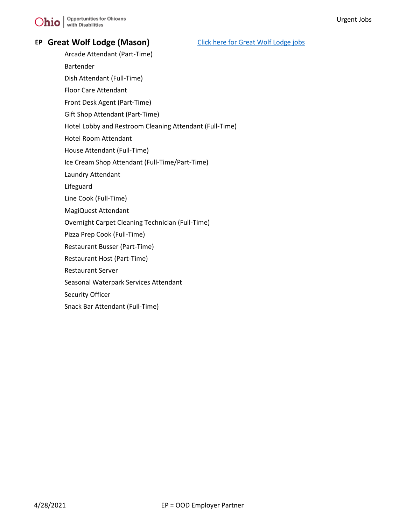$\sum$ hio  $\big|\frac{\text{Opportunities for Ohioans}}{\text{with Disabilities}}\big|$ 

# **EP Great Wolf Lodge (Mason)** [Click here for Great Wolf Lodge jobs](https://jobs.greatwolf.com/location/mason-jobs/17948/6252001-5165418-4527624-4517698/4)

- Arcade Attendant (Part-Time)
- Bartender
- Dish Attendant (Full-Time)
- Floor Care Attendant
- Front Desk Agent (Part-Time)
- Gift Shop Attendant (Part-Time)
- Hotel Lobby and Restroom Cleaning Attendant (Full-Time)
- Hotel Room Attendant
- House Attendant (Full-Time)
- Ice Cream Shop Attendant (Full-Time/Part-Time)
- Laundry Attendant
- Lifeguard
- Line Cook (Full-Time)
- MagiQuest Attendant
- Overnight Carpet Cleaning Technician (Full-Time)
- Pizza Prep Cook (Full-Time)
- Restaurant Busser (Part-Time)
- Restaurant Host (Part-Time)
- Restaurant Server
- Seasonal Waterpark Services Attendant
- Security Officer
- Snack Bar Attendant (Full-Time)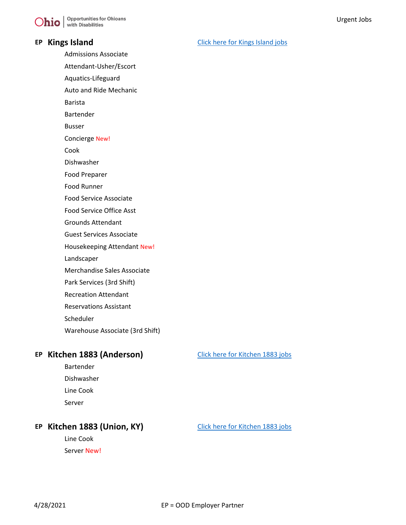### **EP** Kings Island [Click here for Kings Island jobs](https://jobs.cedarfair.com/job-search-results/?brand=Kings%20Island)

Admissions Associate

Attendant-Usher/Escort

Aquatics-Lifeguard

Auto and Ride Mechanic

Barista

Bartender

Busser

Concierge New!

Cook

Dishwasher

Food Preparer

Food Runner

Food Service Associate

Food Service Office Asst

Grounds Attendant

Guest Services Associate

Housekeeping Attendant New!

Landscaper

Merchandise Sales Associate

Park Services (3rd Shift)

Recreation Attendant

Reservations Assistant

Scheduler

Warehouse Associate (3rd Shift)

# **EP Kitchen 1883 (Anderson)** [Click here for Kitchen 1883 jobs](https://jobs.kroger.com/hospitality/go/Hospitality/3557400/)

Bartender Dishwasher Line Cook Server

# **EP** Kitchen 1883 (Union, KY) [Click here for Kitchen 1883 jobs](https://jobs.kroger.com/hospitality/go/Hospitality/3557400/)

Line Cook Server New!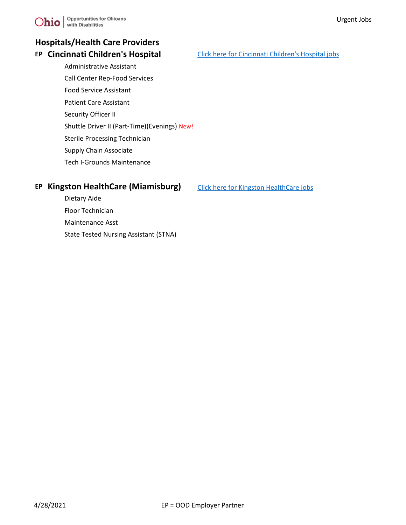# **Hospitals/Health Care Providers**

**EP** Cincinnati Children's Hospital [Click here for Cincinnati Children's Hospital jobs](https://jobs.cincinnatichildrens.org/search/searchjobs)

- Administrative Assistant Call Center Rep-Food Services
- Food Service Assistant
- Patient Care Assistant
- Security Officer II
- Shuttle Driver II (Part-Time)(Evenings) New!
- Sterile Processing Technician
- Supply Chain Associate
- Tech I-Grounds Maintenance

# **EP Kingston HealthCare (Miamisburg)** [Click here for Kingston HealthCare jobs](https://kingstonhealthcare.com/careers)

Dietary Aide Floor Technician Maintenance Asst State Tested Nursing Assistant (STNA)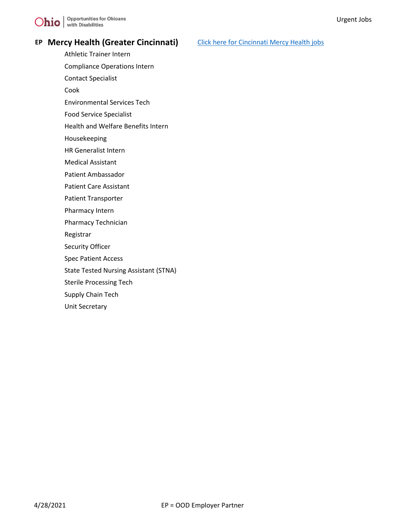# **EP** Mercy Health (Greater Cincinnati) [Click here for Cincinnati Mercy Health jobs](https://careers.mercy.com/search-jobs/45202%2C Cincinnati%2C OH/29152/4/6252001-5165418-4513583-4508722/39x1072/-84x502/50/2?pc=45202)

- Athletic Trainer Intern
- Compliance Operations Intern
- Contact Specialist
- Cook
- Environmental Services Tech
- Food Service Specialist
- Health and Welfare Benefits Intern
- Housekeeping
- HR Generalist Intern
- Medical Assistant
- Patient Ambassador
- Patient Care Assistant
- Patient Transporter
- Pharmacy Intern
- Pharmacy Technician
- Registrar
- Security Officer
- Spec Patient Access
- State Tested Nursing Assistant (STNA)
- Sterile Processing Tech
- Supply Chain Tech
- Unit Secretary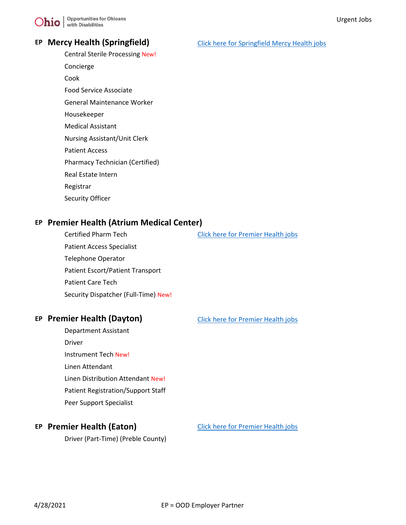

### **EP Mercy Health (Springfield)** [Click here for Springfield Mercy Health jobs](https://careers.mercy.com/search-jobs/Springfield%2C OH/29152/4/6252001-5165418-4508810-4525353/39x92423/-83x80882/50/2)

- Central Sterile Processing New!
- Concierge
- Cook
- Food Service Associate
- General Maintenance Worker
- Housekeeper
- Medical Assistant
- Nursing Assistant/Unit Clerk
- Patient Access
- Pharmacy Technician (Certified)
- Real Estate Intern
- Registrar
- Security Officer

### **EP Premier Health (Atrium Medical Center)**

Certified Pharm Tech [Click here for Premier Health jobs](https://php.referrals.selectminds.com/) Patient Access Specialist Telephone Operator Patient Escort/Patient Transport Patient Care Tech Security Dispatcher (Full-Time) New!

### **EP Premier Health (Dayton)** [Click here for Premier Health jobs](https://php.referrals.selectminds.com/)

Department Assistant Driver Instrument Tech New! Linen Attendant Linen Distribution Attendant New! Patient Registration/Support Staff Peer Support Specialist

### **EP Premier Health (Eaton)** [Click here for Premier Health jobs](https://php.referrals.selectminds.com/)

Driver (Part-Time) (Preble County)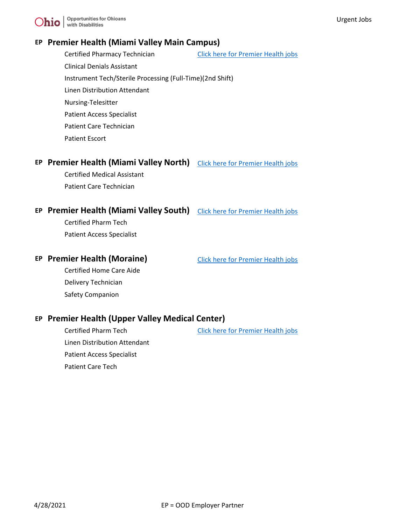# **EP Premier Health (Miami Valley Main Campus)**

Certified Pharmacy Technician [Click here for Premier Health jobs](https://php.referrals.selectminds.com/) Clinical Denials Assistant Instrument Tech/Sterile Processing (Full-Time)(2nd Shift) Linen Distribution Attendant Nursing-Telesitter Patient Access Specialist Patient Care Technician Patient Escort

# **EP** Premier Health (Miami Valley North) [Click here for Premier Health jobs](https://php.referrals.selectminds.com/)

Certified Medical Assistant Patient Care Technician

### **EP Premier Health (Miami Valley South)** [Click here for Premier Health jobs](https://php.referrals.selectminds.com/)

Certified Pharm Tech Patient Access Specialist

### **EP Premier Health (Moraine)** [Click here for Premier Health jobs](https://php.referrals.selectminds.com/)

Certified Home Care Aide Delivery Technician Safety Companion

### **EP Premier Health (Upper Valley Medical Center)**

Linen Distribution Attendant Patient Access Specialist Patient Care Tech

Certified Pharm Tech [Click here for Premier Health jobs](https://php.referrals.selectminds.com/)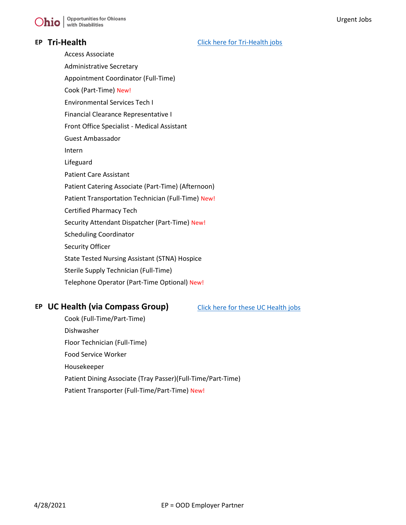**EP Tri-Health [Click here for Tri-Health jobs](https://careers.trihealth.com/search/?searchby=location&createNewAlert=false&q=&locationsearch=&geolocation=&optionsFacetsDD_customfield2=&optionsFacetsDD_customfield1=&optionsFacetsDD_shifttype=)** 

Access Associate Administrative Secretary Appointment Coordinator (Full-Time) Cook (Part-Time) New! Environmental Services Tech I Financial Clearance Representative I Front Office Specialist - Medical Assistant Guest Ambassador Intern Lifeguard Patient Care Assistant Patient Catering Associate (Part-Time) (Afternoon) Patient Transportation Technician (Full-Time) New! Certified Pharmacy Tech Security Attendant Dispatcher (Part-Time) New! Scheduling Coordinator Security Officer State Tested Nursing Assistant (STNA) Hospice Sterile Supply Technician (Full-Time) Telephone Operator (Part-Time Optional) New!

### **EP UC Health (via Compass Group)** [Click here for these UC Health jobs](https://careers.compassgroupcareers.com/main/jobs?page=1&location=45202&stretch=50&stretchUnit=MILES&sortBy=relevance&keywords=University%20of%20Cincinnati)

Cook (Full-Time/Part-Time) Dishwasher Floor Technician (Full-Time) Food Service Worker Housekeeper Patient Dining Associate (Tray Passer)(Full-Time/Part-Time) Patient Transporter (Full-Time/Part-Time) New!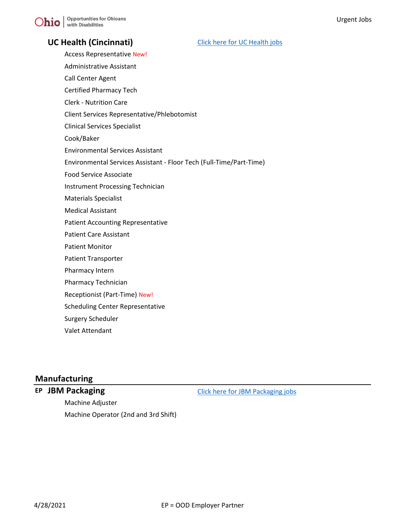# **UC Health (Cincinnati)** [Click here for UC Health jobs](https://uchealth.taleo.net/careersection/external/jobsearch.ftl?lang=en)

- Access Representative New! Administrative Assistant
- Call Center Agent
- Certified Pharmacy Tech
- Clerk Nutrition Care
- Client Services Representative/Phlebotomist
- Clinical Services Specialist
- Cook/Baker
- Environmental Services Assistant
- Environmental Services Assistant Floor Tech (Full-Time/Part-Time)
- Food Service Associate
- Instrument Processing Technician
- Materials Specialist
- Medical Assistant
- Patient Accounting Representative
- Patient Care Assistant
- Patient Monitor
- Patient Transporter
- Pharmacy Intern
- Pharmacy Technician
- Receptionist (Part-Time) New!
- Scheduling Center Representative
- Surgery Scheduler
- Valet Attendant

# **Manufacturing**

**EP JBM Packaging [Click here for JBM Packaging jobs](https://www.jbmpackaging.com/careers-old/join-our-team/)** 

Machine Adjuster Machine Operator (2nd and 3rd Shift)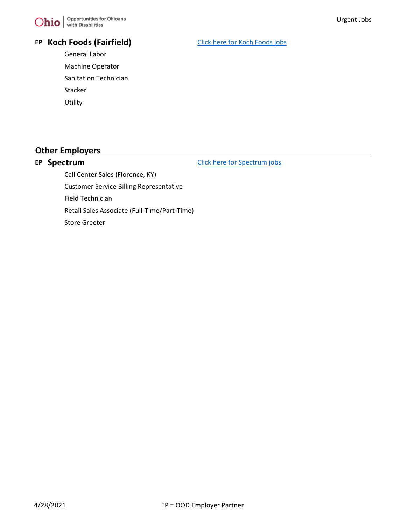

### **EP Koch Foods (Fairfield)** [Click here for Koch Foods jobs](https://kochfoods.com/jobs/FO/QJ8FK026203F3VBQBLO8N7VZG/components/index.html?searchCriteria%5b0%5d%5bkey%5d=Reg&searchCriteria%5b0%5d%5bvalues%5d%5b%5d=3476&searchCriteria%5b1%5d%5bkey%5d=Resultsperpage&searchCriteria%5b1%5d%5bvalues%5d%5b%5d=48&searchCriteria%5b2%5d%5bkey%5d=JobAdlg&searchCriteria%5b2%5d%5bvalues%5d%5b%5d=EN)

General Labor Machine Operator Sanitation Technician Stacker Utility

# **Other Employers**

**EP Spectrum [Click here for Spectrum jobs](https://jobs.spectrum.com/search-jobs/45202%2C Cincinnati%2C OH/4673-14710/4/6252001-5165418-4513583-4508722/39x1072/-84x502/50/2?pc=45202)** 

Call Center Sales (Florence, KY) Customer Service Billing Representative Field Technician Retail Sales Associate (Full-Time/Part-Time) Store Greeter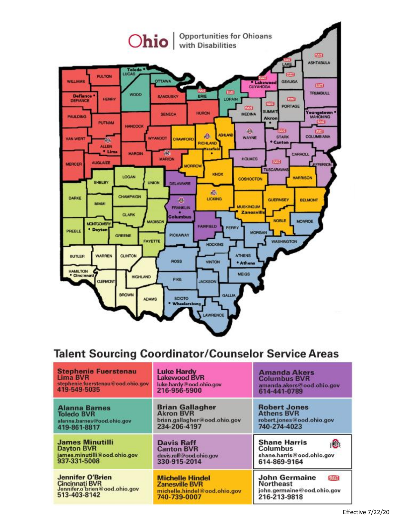

# **Talent Sourcing Coordinator/Counselor Service Areas**

| <b>Stephenie Fuerstenau</b>                                                                       | <b>Luke Hardy</b>                                                                               | <b>Amanda Akers</b>                                                                                    |
|---------------------------------------------------------------------------------------------------|-------------------------------------------------------------------------------------------------|--------------------------------------------------------------------------------------------------------|
| Lima BVR                                                                                          | <b>Lakewood BVR</b>                                                                             | <b>Columbus BVR</b>                                                                                    |
| stephenie.fuerstenau@ood.ohio.gov                                                                 | luke.hardy@ood.ohio.gov                                                                         | amanda.akers@ood.ohio.gov                                                                              |
| 419-549-5035                                                                                      | 216-956-5900                                                                                    | 614-441-0789                                                                                           |
| <b>Alanna Barnes</b>                                                                              | <b>Brian Gallagher</b>                                                                          | <b>Robert Jones</b>                                                                                    |
| <b>Toledo BVR</b>                                                                                 | <b>Akron BVR</b>                                                                                | <b>Athens BVR</b>                                                                                      |
| alanna.barnes@ood.ohio.gov                                                                        | brian.gallagher@ood.ohio.gov                                                                    | robert.jones@ood.ohio.gov                                                                              |
| 419-861-8817                                                                                      | 234-206-4197                                                                                    | 740-274-4023                                                                                           |
| <b>James Minutilli</b>                                                                            | <b>Davis Raff</b>                                                                               | <b>Shane Harris</b>                                                                                    |
| <b>Dayton BVR</b>                                                                                 | <b>Canton BVR</b>                                                                               | Columbus                                                                                               |
| james.minutilli@ood.ohio.gov                                                                      | davis.raff@ood.ohio.gov                                                                         | shane.harris@ood.ohio.gov                                                                              |
| 937-331-5008                                                                                      | 330-915-2014                                                                                    | 614-869-9164                                                                                           |
| <b>Jennifer O'Brien</b><br><b>Cincinnati BVR</b><br>Jennifer.o'brien@ood.ohio.gov<br>513-403-8142 | <b>Michelle Hindel</b><br><b>Zanesville BVR</b><br>michelle.hindel@ood.ohio.gov<br>740-739-0007 | <b>John Germaine</b><br><b>Beatt</b><br><b>Northeast</b><br>john.germaine@ood.ohio.gov<br>216-213-9818 |